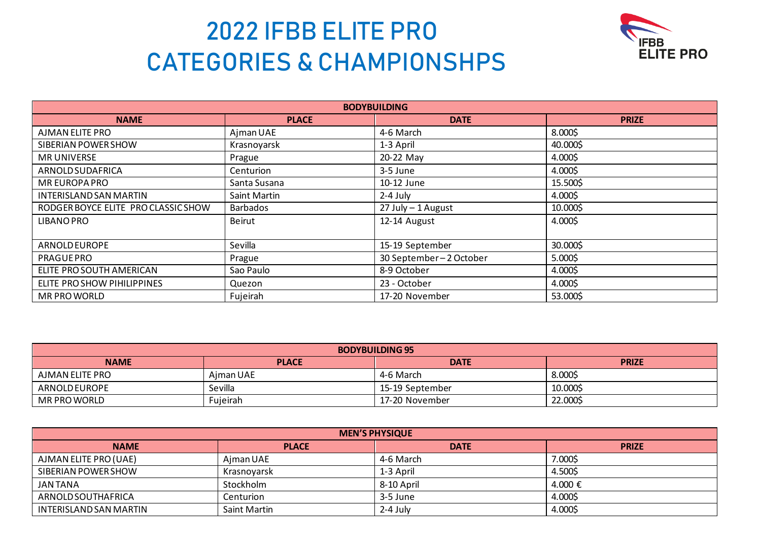

| <b>BODYBUILDING</b>                 |                     |                        |              |  |
|-------------------------------------|---------------------|------------------------|--------------|--|
| <b>NAME</b>                         | <b>PLACE</b>        | <b>DATE</b>            | <b>PRIZE</b> |  |
| AJMAN ELITE PRO                     | Ajman UAE           | 4-6 March              | 8.000\$      |  |
| SIBERIAN POWER SHOW                 | Krasnoyarsk         | 1-3 April              | 40.000\$     |  |
| <b>MR UNIVERSE</b>                  | Prague              | 20-22 May              | 4.000\$      |  |
| ARNOLD SUDAFRICA                    | Centurion           | 3-5 June               | 4.000\$      |  |
| MR EUROPA PRO                       | Santa Susana        | 10-12 June             | 15.500\$     |  |
| <b>INTERISLAND SAN MARTIN</b>       | <b>Saint Martin</b> | 2-4 July               | 4.000\$      |  |
| RODGER BOYCE ELITE PRO CLASSIC SHOW | <b>Barbados</b>     | 27 July - 1 August     | 10.000\$     |  |
| <b>LIBANO PRO</b>                   | Beirut              | 12-14 August           | 4.000\$      |  |
|                                     |                     |                        |              |  |
| ARNOLD EUROPE                       | Sevilla             | 15-19 September        | 30.000\$     |  |
| <b>PRAGUE PRO</b>                   | Prague              | 30 September-2 October | 5.000\$      |  |
| ELITE PRO SOUTH AMERICAN            | Sao Paulo           | 8-9 October            | 4.000\$      |  |
| ELITE PROSHOW PIHILIPPINES          | Quezon              | 23 - October           | 4.000\$      |  |
| <b>MR PRO WORLD</b>                 | Fujeirah            | 17-20 November         | 53.000\$     |  |

| <b>BODYBUILDING 95</b>                                     |           |                 |          |  |
|------------------------------------------------------------|-----------|-----------------|----------|--|
| <b>PLACE</b><br><b>DATE</b><br><b>NAME</b><br><b>PRIZE</b> |           |                 |          |  |
| AJMAN ELITE PRO                                            | Aiman UAE | 4-6 March       | 8.000\$  |  |
| ARNOLD EUROPE                                              | Sevilla   | 15-19 September | 10.000\$ |  |
| MR PRO WORLD                                               | Fujeirah  | 17-20 November  | 22.000\$ |  |

| <b>MEN'S PHYSIQUE</b>  |              |             |              |
|------------------------|--------------|-------------|--------------|
| <b>NAME</b>            | <b>PLACE</b> | <b>DATE</b> | <b>PRIZE</b> |
| AJMAN ELITE PRO (UAE)  | Ajman UAE    | 4-6 March   | 7.000\$      |
| SIBERIAN POWER SHOW    | Krasnoyarsk  | 1-3 April   | 4.500\$      |
| <b>JAN TANA</b>        | Stockholm    | 8-10 April  | 4.000 €      |
| ARNOLD SOUTHAFRICA     | Centurion    | 3-5 June    | 4.000\$      |
| INTERISLAND SAN MARTIN | Saint Martin | $2-4$ July  | 4.000\$      |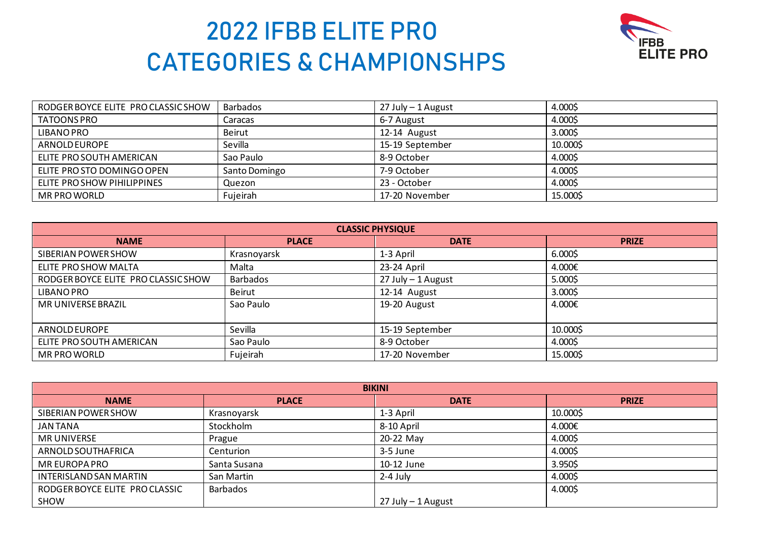

| RODGER BOYCE ELITE PROCLASSIC SHOW | <b>Barbados</b> | 27 July – 1 August | 4.000\$  |
|------------------------------------|-----------------|--------------------|----------|
| TATOONS PRO                        | Caracas         | 6-7 August         | 4.000\$  |
| <b>LIBANO PRO</b>                  | Beirut          | 12-14 August       | 3.000\$  |
| ARNOLD EUROPE                      | Sevilla         | 15-19 September    | 10.000\$ |
| ELITE PRO SOUTH AMERICAN           | Sao Paulo       | 8-9 October        | 4.000\$  |
| ELITE PROSTO DOMINGO OPEN          | Santo Domingo   | 7-9 October        | 4.000\$  |
| ELITE PRO SHOW PIHILIPPINES        | Quezon          | 23 - October       | 4.000\$  |
| <b>MR PRO WORLD</b>                | Fujeirah        | 17-20 November     | 15.000\$ |

| <b>CLASSIC PHYSIQUE</b>             |               |                    |              |
|-------------------------------------|---------------|--------------------|--------------|
| <b>NAME</b>                         | <b>PLACE</b>  | <b>DATE</b>        | <b>PRIZE</b> |
| SIBERIAN POWER SHOW                 | Krasnoyarsk   | 1-3 April          | 6.000\$      |
| ELITE PRO SHOW MALTA                | Malta         | 23-24 April        | 4.000€       |
| RODGER BOYCE ELITE PRO CLASSIC SHOW | Barbados      | 27 July - 1 August | $5.000$ \$   |
| <b>LIBANO PRO</b>                   | <b>Beirut</b> | 12-14 August       | 3.000\$      |
| MR UNIVERSE BRAZIL                  | Sao Paulo     | 19-20 August       | 4.000€       |
|                                     |               |                    |              |
| ARNOLD EUROPE                       | Sevilla       | 15-19 September    | 10.000\$     |
| ELITE PRO SOUTH AMERICAN            | Sao Paulo     | 8-9 October        | 4.000\$      |
| MR PRO WORLD                        | Fujeirah      | 17-20 November     | 15.000\$     |

| <b>BIKINI</b>                 |                 |                    |              |
|-------------------------------|-----------------|--------------------|--------------|
| <b>NAME</b>                   | <b>PLACE</b>    | <b>DATE</b>        | <b>PRIZE</b> |
| SIBERIAN POWER SHOW           | Krasnoyarsk     | 1-3 April          | 10.000\$     |
| <b>JAN TANA</b>               | Stockholm       | 8-10 April         | 4.000€       |
| <b>MR UNIVERSE</b>            | Prague          | 20-22 May          | 4.000\$      |
| ARNOLD SOUTHAFRICA            | Centurion       | 3-5 June           | 4.000\$      |
| <b>MR EUROPA PRO</b>          | Santa Susana    | 10-12 June         | 3.950\$      |
| <b>INTERISLAND SAN MARTIN</b> | San Martin      | $2-4$ July         | 4.000\$      |
| RODGER BOYCE ELITE PROCLASSIC | <b>Barbados</b> |                    | 4.000\$      |
| SHOW                          |                 | 27 July - 1 August |              |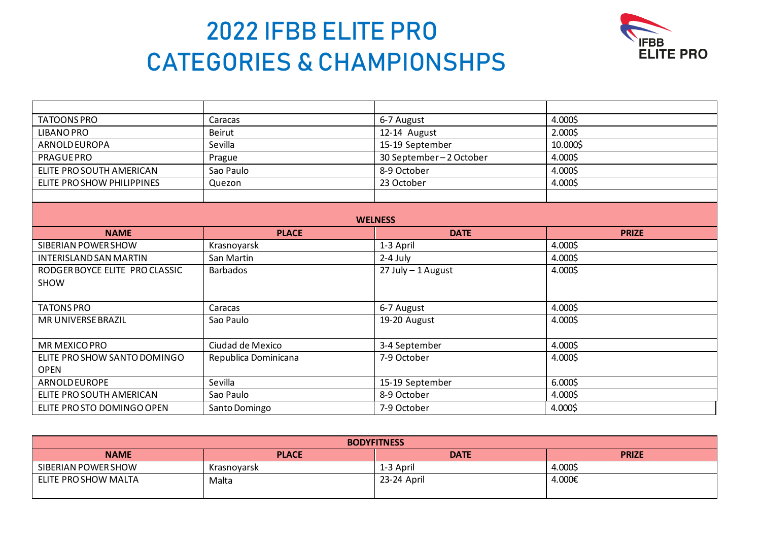

| <b>TATOONS PRO</b>            | Caracas              | 6-7 August             | 4.000\$      |
|-------------------------------|----------------------|------------------------|--------------|
| <b>LIBANO PRO</b>             | <b>Beirut</b>        | 12-14 August           | 2.000\$      |
| <b>ARNOLD EUROPA</b>          | Sevilla              | 15-19 September        | 10.000\$     |
| <b>PRAGUE PRO</b>             | Prague               | 30 September-2 October | 4.000\$      |
| ELITE PRO SOUTH AMERICAN      | Sao Paulo            | 8-9 October            | 4.000\$      |
| ELITE PRO SHOW PHILIPPINES    | Quezon               | 23 October             | 4.000\$      |
|                               |                      |                        |              |
|                               |                      |                        |              |
|                               |                      | <b>WELNESS</b>         |              |
| <b>NAME</b>                   | <b>PLACE</b>         | <b>DATE</b>            | <b>PRIZE</b> |
| SIBERIAN POWER SHOW           | Krasnoyarsk          | 1-3 April              | 4.000\$      |
| <b>INTERISLAND SAN MARTIN</b> | San Martin           | 2-4 July               | 4.000\$      |
| RODGER BOYCE ELITE PROCLASSIC | <b>Barbados</b>      | 27 July - 1 August     | 4.000\$      |
| <b>SHOW</b>                   |                      |                        |              |
|                               |                      |                        |              |
| <b>TATONS PRO</b>             | Caracas              | 6-7 August             | 4.000\$      |
| MR UNIVERSE BRAZIL            | Sao Paulo            | 19-20 August           | 4.000\$      |
|                               |                      |                        |              |
| <b>MR MEXICO PRO</b>          | Ciudad de Mexico     | 3-4 September          | 4.000\$      |
| ELITE PRO SHOW SANTO DOMINGO  | Republica Dominicana | 7-9 October            | 4.000\$      |
| <b>OPEN</b>                   |                      |                        |              |
| ARNOLD EUROPE                 | Sevilla              | 15-19 September        | 6.0005       |
| ELITE PRO SOUTH AMERICAN      | Sao Paulo            | 8-9 October            | 4.000\$      |
| ELITE PROSTO DOMINGO OPEN     | Santo Domingo        | 7-9 October            | 4.000\$      |

| <b>BODYFITNESS</b>                                         |             |             |         |  |  |
|------------------------------------------------------------|-------------|-------------|---------|--|--|
| <b>NAME</b><br><b>PLACE</b><br><b>DATE</b><br><b>PRIZE</b> |             |             |         |  |  |
| SIBERIAN POWER SHOW                                        | Krasnovarsk | 1-3 April   | 4.000\$ |  |  |
| ELITE PRO SHOW MALTA                                       | Malta       | 23-24 April | 4.000€  |  |  |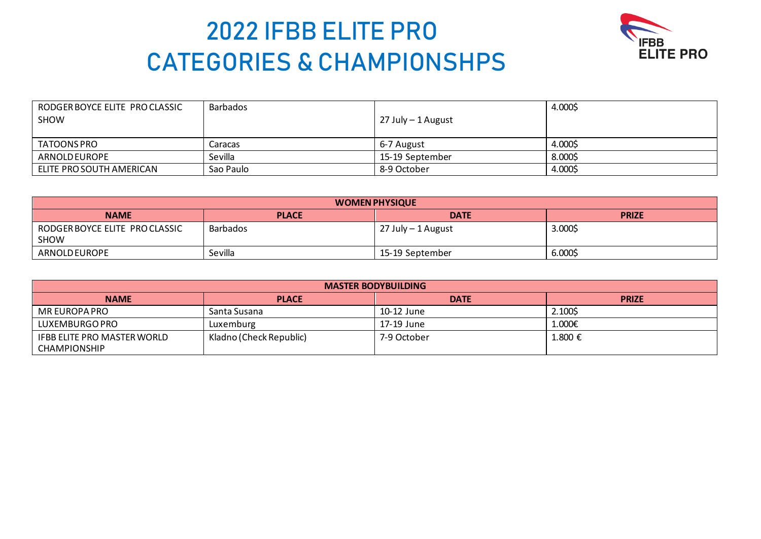

| RODGER BOYCE ELITE PROCLASSIC<br>SHOW | Barbados  | 27 July - 1 August | 4.000\$ |
|---------------------------------------|-----------|--------------------|---------|
| TATOONS PRO                           | Caracas   | 6-7 August         | 4.000\$ |
| ARNOLD EUROPE                         | Sevilla   | 15-19 September    | 8.000\$ |
| ELITE PRO SOUTH AMERICAN              | Sao Paulo | 8-9 October        | 4.000\$ |

| <b>WOMEN PHYSIQUE</b>                                      |          |                    |         |  |
|------------------------------------------------------------|----------|--------------------|---------|--|
| <b>PLACE</b><br><b>DATE</b><br><b>NAME</b><br><b>PRIZE</b> |          |                    |         |  |
| RODGER BOYCE ELITE PROCLASSIC<br><b>SHOW</b>               | Barbados | 27 July - 1 August | 3.000\$ |  |
| ARNOLD EUROPE                                              | Sevilla  | 15-19 September    | 6.000\$ |  |

| <b>MASTER BODYBUILDING</b>                         |                         |             |              |
|----------------------------------------------------|-------------------------|-------------|--------------|
| <b>NAME</b>                                        | <b>PLACE</b>            | <b>DATE</b> | <b>PRIZE</b> |
| MR EUROPA PRO                                      | Santa Susana            | 10-12 June  | 2.100\$      |
| LUXEMBURGO PRO                                     | Luxemburg               | 17-19 June  | 1.000€       |
| IFBB ELITE PRO MASTER WORLD<br><b>CHAMPIONSHIP</b> | Kladno (Check Republic) | 7-9 October | 1.800 €      |